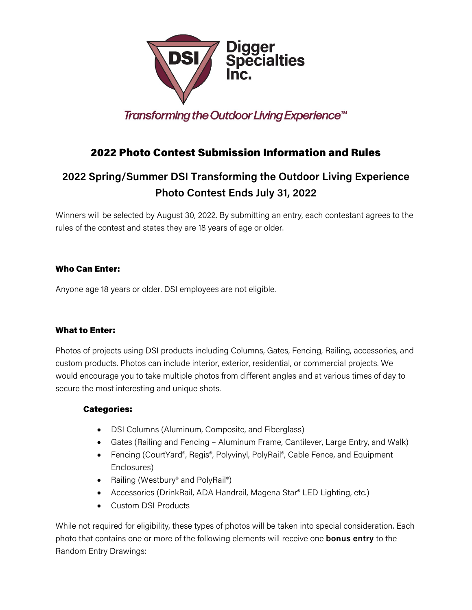

Transforming the Outdoor Living Experience<sup>™</sup>

# 2022 Photo Contest Submission Information and Rules

# **2022 Spring/Summer DSI Transforming the Outdoor Living Experience Photo Contest Ends July 31, 2022**

Winners will be selected by August 30, 2022. By submitting an entry, each contestant agrees to the rules of the contest and states they are 18 years of age or older.

## Who Can Enter:

Anyone age 18 years or older. DSI employees are not eligible.

### What to Enter:

Photos of projects using DSI products including Columns, Gates, Fencing, Railing, accessories, and custom products. Photos can include interior, exterior, residential, or commercial projects. We would encourage you to take multiple photos from different angles and at various times of day to secure the most interesting and unique shots.

### Categories:

- DSI Columns (Aluminum, Composite, and Fiberglass)
- Gates (Railing and Fencing Aluminum Frame, Cantilever, Large Entry, and Walk)
- Fencing (CourtYard®, Regis®, Polyvinyl, PolyRail®, Cable Fence, and Equipment Enclosures)
- Railing (Westbury® and PolyRail®)
- Accessories (DrinkRail, ADA Handrail, Magena Star® LED Lighting, etc.)
- Custom DSI Products

While not required for eligibility, these types of photos will be taken into special consideration. Each photo that contains one or more of the following elements will receive one **bonus entry** to the Random Entry Drawings: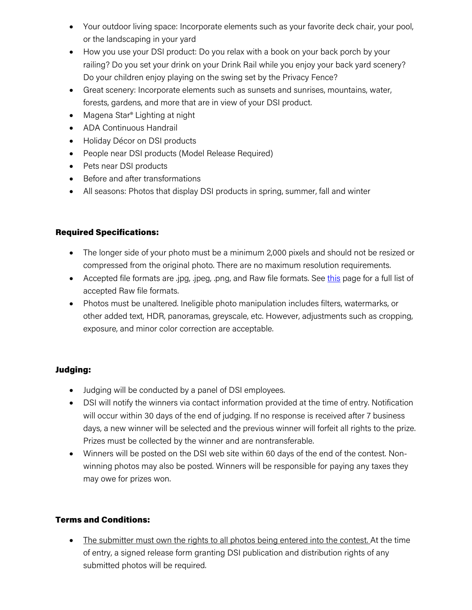- Your outdoor living space: Incorporate elements such as your favorite deck chair, your pool, or the landscaping in your yard
- How you use your DSI product: Do you relax with a book on your back porch by your railing? Do you set your drink on your Drink Rail while you enjoy your back yard scenery? Do your children enjoy playing on the swing set by the Privacy Fence?
- Great scenery: Incorporate elements such as sunsets and sunrises, mountains, water, forests, gardens, and more that are in view of your DSI product.
- Magena Star® Lighting at night
- ADA Continuous Handrail
- Holiday Décor on DSI products
- People near DSI products (Model Release Required)
- Pets near DSI products
- Before and after transformations
- All seasons: Photos that display DSI products in spring, summer, fall and winter

### Required Specifications:

- The longer side of your photo must be a minimum 2,000 pixels and should not be resized or compressed from the original photo. There are no maximum resolution requirements.
- Accepted file formats are .jpg, .jpeg, .png, and Raw file formats. See [this](https://helpx.adobe.com/camera-raw/kb/camera-raw-plug-supported-cameras.html) page for a full list of accepted Raw file formats.
- Photos must be unaltered. Ineligible photo manipulation includes filters, watermarks, or other added text, HDR, panoramas, greyscale, etc. However, adjustments such as cropping, exposure, and minor color correction are acceptable.

### Judging:

- Judging will be conducted by a panel of DSI employees.
- DSI will notify the winners via contact information provided at the time of entry. Notification will occur within 30 days of the end of judging. If no response is received after 7 business days, a new winner will be selected and the previous winner will forfeit all rights to the prize. Prizes must be collected by the winner and are nontransferable.
- Winners will be posted on the DSI web site within 60 days of the end of the contest. Nonwinning photos may also be posted. Winners will be responsible for paying any taxes they may owe for prizes won.

### Terms and Conditions:

• The submitter must own the rights to all photos being entered into the contest. At the time of entry, a signed release form granting DSI publication and distribution rights of any submitted photos will be required.